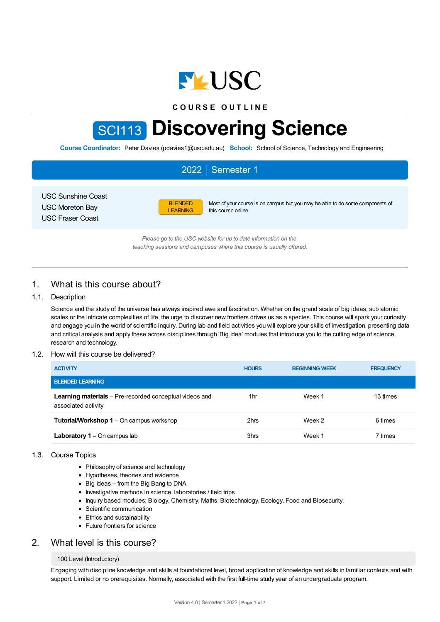

**C O U R S E O U T L I N E**

# SCI113 **Discovering Science**

**Course Coordinator:** Peter Davies (pdavies1@usc.edu.au) **School:** School of Science, Technology and Engineering

|                                                                         |                                   | 2022 Semester 1                                                                                                                        |
|-------------------------------------------------------------------------|-----------------------------------|----------------------------------------------------------------------------------------------------------------------------------------|
| USC Sunshine Coast<br><b>USC Moreton Bay</b><br><b>USC Fraser Coast</b> | <b>BLENDED</b><br><b>LEARNING</b> | Most of your course is on campus but you may be able to do some components of<br>this course online.                                   |
|                                                                         |                                   | Please go to the USC website for up to date information on the<br>teaching sessions and campuses where this course is usually offered. |

# 1. What is this course about?

## 1.1. Description

Science and the study of the universe has always inspired awe and fascination. Whether on the grand scale of big ideas, sub atomic scales or the intricate complexities of life, the urge to discover new frontiers drives us as a species. This course will spark your curiosity and engage you in the world of scientific inquiry. During lab and field activities you will explore your skills of investigation, presenting data and critical analysis and apply these across disciplines through 'Big Idea' modules that introduce you to the cutting edge of science, research and technology.

#### 1.2. How will this course be delivered?

| <b>ACTIVITY</b>                                                                       | <b>HOURS</b> | <b>BEGINNING WEEK</b> | <b>FREQUENCY</b> |
|---------------------------------------------------------------------------------------|--------------|-----------------------|------------------|
| <b>BLENDED LEARNING</b>                                                               |              |                       |                  |
| <b>Learning materials</b> – Pre-recorded conceptual videos and<br>associated activity | 1hr          | Week 1                | 13 times         |
| <b>Tutorial/Workshop 1</b> – On campus workshop                                       | 2hrs         | Week 2                | 6 times          |
| <b>Laboratory 1</b> – On campus lab                                                   | 3hrs         | Week 1                | 7 times          |

#### 1.3. Course Topics

- Philosophy of science and technology
- Hypotheses, theories and evidence
- $\bullet$  Big Ideas from the Big Bang to DNA
- Investigative methods in science, laboratories / field trips
- Inquiry based modules; Biology, Chemistry, Maths, Biotechnology, Ecology, Food and Biosecurity.
- Scientific communication
- Ethics and sustainability
- Future frontiers for science

# 2. What level is this course?

#### 100 Level (Introductory)

Engaging with discipline knowledge and skills at foundational level, broad application of knowledge and skills in familiar contexts and with support. Limited or no prerequisites. Normally, associated with the first full-time study year of an undergraduate program.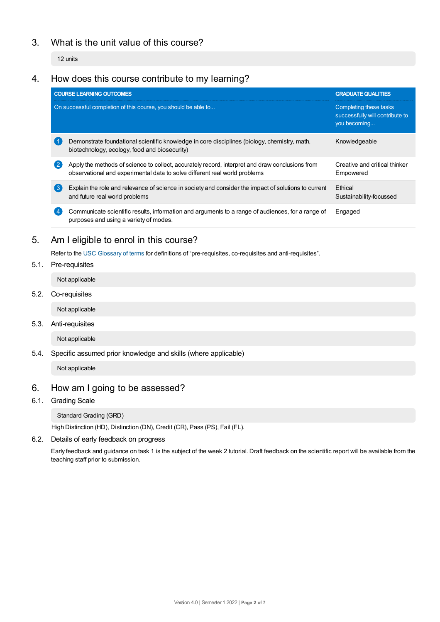# 3. What is the unit value of this course?

12 units

# 4. How does this course contribute to my learning?

|     | <b>COURSE LEARNING OUTCOMES</b>                                                                                                                                               | <b>GRADUATE QUALITIES</b>                                                 |  |
|-----|-------------------------------------------------------------------------------------------------------------------------------------------------------------------------------|---------------------------------------------------------------------------|--|
|     | On successful completion of this course, you should be able to                                                                                                                | Completing these tasks<br>successfully will contribute to<br>you becoming |  |
|     | Demonstrate foundational scientific knowledge in core disciplines (biology, chemistry, math,<br>biotechnology, ecology, food and biosecurity)                                 | Knowledgeable                                                             |  |
|     | Apply the methods of science to collect, accurately record, interpret and draw conclusions from<br>observational and experimental data to solve different real world problems | Creative and critical thinker<br>Empowered                                |  |
| 【3】 | Explain the role and relevance of science in society and consider the impact of solutions to current<br>and future real world problems                                        | Ethical<br>Sustainability-focussed                                        |  |
|     | Communicate scientific results, information and arguments to a range of audiences, for a range of<br>purposes and using a variety of modes.                                   | Engaged                                                                   |  |

# 5. Am Ieligible to enrol in this course?

Refer to the USC [Glossary](https://www.usc.edu.au/about/policies-and-procedures/glossary-of-terms-for-policy-and-procedures) of terms for definitions of "pre-requisites, co-requisites and anti-requisites".

5.1. Pre-requisites

Not applicable

5.2. Co-requisites

Not applicable

5.3. Anti-requisites

Not applicable

5.4. Specific assumed prior knowledge and skills (where applicable)

Not applicable

# 6. How am Igoing to be assessed?

6.1. Grading Scale

Standard Grading (GRD)

High Distinction (HD), Distinction (DN), Credit (CR), Pass (PS), Fail (FL).

6.2. Details of early feedback on progress

Early feedback and guidance on task 1 is the subject of the week 2 tutorial. Draft feedback on the scientific report will be available from the teaching staff prior to submission.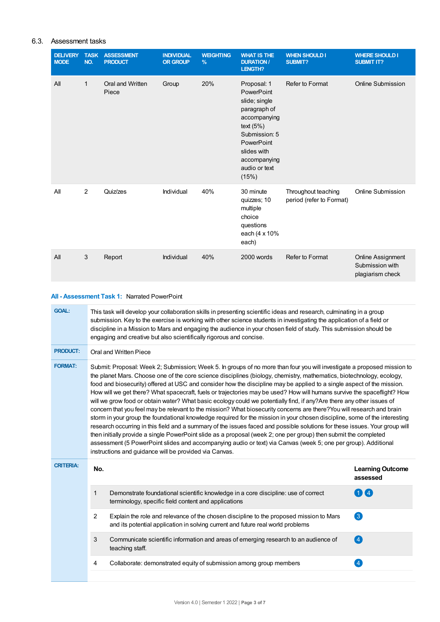## 6.3. Assessment tasks

| <b>DELIVERY</b><br><b>MODE</b> | <b>TASK</b><br>NO. | <b>ASSESSMENT</b><br><b>PRODUCT</b> | <b>INDIVIDUAL</b><br><b>OR GROUP</b> | <b>WEIGHTING</b><br>$\frac{9}{6}$ | <b>WHAT IS THE</b><br><b>DURATION /</b><br>LENGTH?                                                                                                                                | <b>WHEN SHOULD I</b><br><b>SUBMIT?</b>          | <b>WHERE SHOULD I</b><br><b>SUBMIT IT?</b>                      |
|--------------------------------|--------------------|-------------------------------------|--------------------------------------|-----------------------------------|-----------------------------------------------------------------------------------------------------------------------------------------------------------------------------------|-------------------------------------------------|-----------------------------------------------------------------|
| All                            | $\mathbf{1}$       | Oral and Written<br>Piece           | Group                                | 20%                               | Proposal: 1<br>PowerPoint<br>slide; single<br>paragraph of<br>accompanying<br>text $(5%)$<br>Submission: 5<br>PowerPoint<br>slides with<br>accompanying<br>audio or text<br>(15%) | Refer to Format                                 | Online Submission                                               |
| All                            | 2                  | Quiz/zes                            | Individual                           | 40%                               | 30 minute<br>quizzes; 10<br>multiple<br>choice<br>questions<br>each (4 x 10%<br>each)                                                                                             | Throughout teaching<br>period (refer to Format) | Online Submission                                               |
| All                            | $\mathbf{3}$       | Report                              | Individual                           | 40%                               | 2000 words                                                                                                                                                                        | Refer to Format                                 | <b>Online Assignment</b><br>Submission with<br>plagiarism check |

## **All - Assessment Task 1:** Narrated PowerPoint

| <b>GOAL:</b>     |                                                                                                                                                                                                                                                                                                                                                                                                                                                                                                                                                                                                                                                                                                                                                                                                                                                                                                                                                                                                                                                                                                                                                                                                                                                             | This task will develop your collaboration skills in presenting scientific ideas and research, culminating in a group<br>submission. Key to the exercise is working with other science students in investigating the application of a field or<br>discipline in a Mission to Mars and engaging the audience in your chosen field of study. This submission should be<br>engaging and creative but also scientifically rigorous and concise. |                                     |  |  |  |
|------------------|-------------------------------------------------------------------------------------------------------------------------------------------------------------------------------------------------------------------------------------------------------------------------------------------------------------------------------------------------------------------------------------------------------------------------------------------------------------------------------------------------------------------------------------------------------------------------------------------------------------------------------------------------------------------------------------------------------------------------------------------------------------------------------------------------------------------------------------------------------------------------------------------------------------------------------------------------------------------------------------------------------------------------------------------------------------------------------------------------------------------------------------------------------------------------------------------------------------------------------------------------------------|--------------------------------------------------------------------------------------------------------------------------------------------------------------------------------------------------------------------------------------------------------------------------------------------------------------------------------------------------------------------------------------------------------------------------------------------|-------------------------------------|--|--|--|
| <b>PRODUCT:</b>  |                                                                                                                                                                                                                                                                                                                                                                                                                                                                                                                                                                                                                                                                                                                                                                                                                                                                                                                                                                                                                                                                                                                                                                                                                                                             | Oral and Written Piece                                                                                                                                                                                                                                                                                                                                                                                                                     |                                     |  |  |  |
| <b>FORMAT:</b>   | Submit: Proposal: Week 2; Submission; Week 5. In groups of no more than four you will investigate a proposed mission to<br>the planet Mars. Choose one of the core science disciplines (biology, chemistry, mathematics, biotechnology, ecology,<br>food and biosecurity) offered at USC and consider how the discipline may be applied to a single aspect of the mission.<br>How will we get there? What spacecraft, fuels or trajectories may be used? How will humans survive the spaceflight? How<br>will we grow food or obtain water? What basic ecology could we potentially find, if any?Are there any other issues of<br>concern that you feel may be relevant to the mission? What biosecurity concerns are there? You will research and brain<br>storm in your group the foundational knowledge required for the mission in your chosen discipline, some of the interesting<br>research occurring in this field and a summary of the issues faced and possible solutions for these issues. Your group will<br>then initially provide a single PowerPoint slide as a proposal (week 2; one per group) then submit the completed<br>assessment (5 PowerPoint slides and accompanying audio or text) via Canvas (week 5; one per group). Additional |                                                                                                                                                                                                                                                                                                                                                                                                                                            |                                     |  |  |  |
|                  |                                                                                                                                                                                                                                                                                                                                                                                                                                                                                                                                                                                                                                                                                                                                                                                                                                                                                                                                                                                                                                                                                                                                                                                                                                                             | instructions and guidance will be provided via Canvas.                                                                                                                                                                                                                                                                                                                                                                                     |                                     |  |  |  |
| <b>CRITERIA:</b> | No.                                                                                                                                                                                                                                                                                                                                                                                                                                                                                                                                                                                                                                                                                                                                                                                                                                                                                                                                                                                                                                                                                                                                                                                                                                                         |                                                                                                                                                                                                                                                                                                                                                                                                                                            | <b>Learning Outcome</b><br>assessed |  |  |  |
|                  | 1                                                                                                                                                                                                                                                                                                                                                                                                                                                                                                                                                                                                                                                                                                                                                                                                                                                                                                                                                                                                                                                                                                                                                                                                                                                           | Demonstrate foundational scientific knowledge in a core discipline: use of correct<br>terminology, specific field content and applications                                                                                                                                                                                                                                                                                                 | $\bigodot$ 4                        |  |  |  |
|                  | 2                                                                                                                                                                                                                                                                                                                                                                                                                                                                                                                                                                                                                                                                                                                                                                                                                                                                                                                                                                                                                                                                                                                                                                                                                                                           | Explain the role and relevance of the chosen discipline to the proposed mission to Mars<br>and its potential application in solving current and future real world problems                                                                                                                                                                                                                                                                 | 3                                   |  |  |  |
|                  | 3                                                                                                                                                                                                                                                                                                                                                                                                                                                                                                                                                                                                                                                                                                                                                                                                                                                                                                                                                                                                                                                                                                                                                                                                                                                           | Communicate scientific information and areas of emerging research to an audience of<br>teaching staff.                                                                                                                                                                                                                                                                                                                                     | $\left( 4\right)$                   |  |  |  |
|                  | 4                                                                                                                                                                                                                                                                                                                                                                                                                                                                                                                                                                                                                                                                                                                                                                                                                                                                                                                                                                                                                                                                                                                                                                                                                                                           | Collaborate: demonstrated equity of submission among group members                                                                                                                                                                                                                                                                                                                                                                         | $\left[4\right]$                    |  |  |  |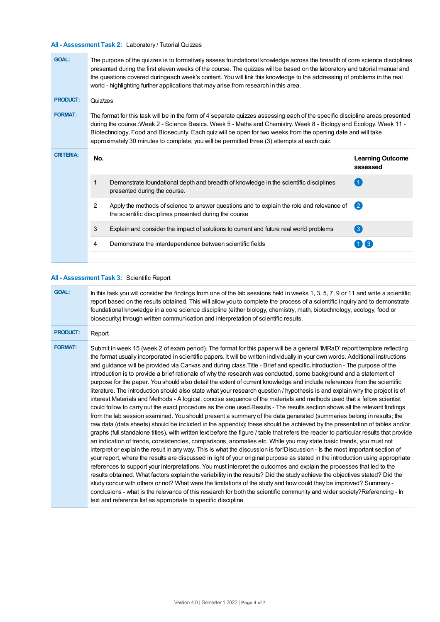# **All - Assessment Task 2:** Laboratory / Tutorial Quizzes

| <b>GOAL:</b>     | The purpose of the quizzes is to formatively assess foundational knowledge across the breadth of core science disciplines<br>presented during the first eleven weeks of the course. The quizzes will be based on the laboratory and tutorial manual and<br>the questions covered duringeach week's content. You will link this knowledge to the addressing of problems in the real<br>world - highlighting further applications that may arise from research in this area. |                                                                                                                                                     |                                     |  |  |
|------------------|----------------------------------------------------------------------------------------------------------------------------------------------------------------------------------------------------------------------------------------------------------------------------------------------------------------------------------------------------------------------------------------------------------------------------------------------------------------------------|-----------------------------------------------------------------------------------------------------------------------------------------------------|-------------------------------------|--|--|
| <b>PRODUCT:</b>  | Quiz/zes                                                                                                                                                                                                                                                                                                                                                                                                                                                                   |                                                                                                                                                     |                                     |  |  |
| <b>FORMAT:</b>   | The format for this task will be in the form of 4 separate quizzes assessing each of the specific discipline areas presented<br>during the course. Week 2 - Science Basics. Week 5 - Maths and Chemistry. Week 8 - Biology and Ecology. Week 11 -<br>Biotechnology, Food and Biosecurity. Each quiz will be open for two weeks from the opening date and will take<br>approximately 30 minutes to complete; you will be permitted three (3) attempts at each quiz.         |                                                                                                                                                     |                                     |  |  |
| <b>CRITERIA:</b> | No.                                                                                                                                                                                                                                                                                                                                                                                                                                                                        |                                                                                                                                                     | <b>Learning Outcome</b><br>assessed |  |  |
|                  | 1                                                                                                                                                                                                                                                                                                                                                                                                                                                                          | Demonstrate foundational depth and breadth of knowledge in the scientific disciplines<br>presented during the course.                               |                                     |  |  |
|                  | 2                                                                                                                                                                                                                                                                                                                                                                                                                                                                          | Apply the methods of science to answer questions and to explain the role and relevance of<br>the scientific disciplines presented during the course | $\bullet$                           |  |  |
|                  | 3                                                                                                                                                                                                                                                                                                                                                                                                                                                                          | Explain and consider the impact of solutions to current and future real world problems                                                              | 3                                   |  |  |
|                  | 4                                                                                                                                                                                                                                                                                                                                                                                                                                                                          | Demonstrate the interdependence between scientific fields                                                                                           |                                     |  |  |
|                  |                                                                                                                                                                                                                                                                                                                                                                                                                                                                            |                                                                                                                                                     |                                     |  |  |

## **All - Assessment Task 3:** Scientific Report

| <b>GOAL:</b>    | In this task you will consider the findings from one of the lab sessions held in weeks 1, 3, 5, 7, 9 or 11 and write a scientific<br>report based on the results obtained. This will allow you to complete the process of a scientific inquiry and to demonstrate<br>foundational knowledge in a core science discipline (either biology, chemistry, math, biotechnology, ecology, food or<br>biosecurity) through written communication and interpretation of scientific results.                                                                                                                                                                                                                                                                                                                                                                                                                                                                                                                                                                                                                                                                                                                                                                                                                                                                                                                                                                                                                                                                                                                                                                                                                                                                                                                                                                                                                                                                                                                                                                                                                                                                                                                                                                                                                                                                                                                      |
|-----------------|---------------------------------------------------------------------------------------------------------------------------------------------------------------------------------------------------------------------------------------------------------------------------------------------------------------------------------------------------------------------------------------------------------------------------------------------------------------------------------------------------------------------------------------------------------------------------------------------------------------------------------------------------------------------------------------------------------------------------------------------------------------------------------------------------------------------------------------------------------------------------------------------------------------------------------------------------------------------------------------------------------------------------------------------------------------------------------------------------------------------------------------------------------------------------------------------------------------------------------------------------------------------------------------------------------------------------------------------------------------------------------------------------------------------------------------------------------------------------------------------------------------------------------------------------------------------------------------------------------------------------------------------------------------------------------------------------------------------------------------------------------------------------------------------------------------------------------------------------------------------------------------------------------------------------------------------------------------------------------------------------------------------------------------------------------------------------------------------------------------------------------------------------------------------------------------------------------------------------------------------------------------------------------------------------------------------------------------------------------------------------------------------------------|
| <b>PRODUCT:</b> | Report                                                                                                                                                                                                                                                                                                                                                                                                                                                                                                                                                                                                                                                                                                                                                                                                                                                                                                                                                                                                                                                                                                                                                                                                                                                                                                                                                                                                                                                                                                                                                                                                                                                                                                                                                                                                                                                                                                                                                                                                                                                                                                                                                                                                                                                                                                                                                                                                  |
| <b>FORMAT:</b>  | Submit in week 15 (week 2 of exam period). The format for this paper will be a general 'IMRaD' report template reflecting<br>the format usually incorporated in scientific papers. It will be written individually in your own words. Additional instructions<br>and guidance will be provided via Canvas and during class. Title - Brief and specific. Introduction - The purpose of the<br>introduction is to provide a brief rationale of why the research was conducted, some background and a statement of<br>purpose for the paper. You should also detail the extent of current knowledge and include references from the scientific<br>literature. The introduction should also state what your research question / hypothesis is and explain why the project is of<br>interest.Materials and Methods - A logical, concise sequence of the materials and methods used that a fellow scientist<br>could follow to carry out the exact procedure as the one used. Results - The results section shows all the relevant findings<br>from the lab session examined. You should present a summary of the data generated (summaries belong in results; the<br>raw data (data sheets) should be included in the appendix); these should be achieved by the presentation of tables and/or<br>graphs (full standalone titles), with written text before the figure / table that refers the reader to particular results that provide<br>an indication of trends, consistencies, comparisons, anomalies etc. While you may state basic trends, you must not<br>interpret or explain the result in any way. This is what the discussion is for!Discussion - Is the most important section of<br>your report, where the results are discussed in light of your original purpose as stated in the introduction using appropriate<br>references to support your interpretations. You must interpret the outcomes and explain the processes that led to the<br>results obtained. What factors explain the variability in the results? Did the study achieve the objectives stated? Did the<br>study concur with others or not? What were the limitations of the study and how could they be improved? Summary -<br>conclusions - what is the relevance of this research for both the scientific community and wider society? Referencing - In<br>text and reference list as appropriate to specific discipline |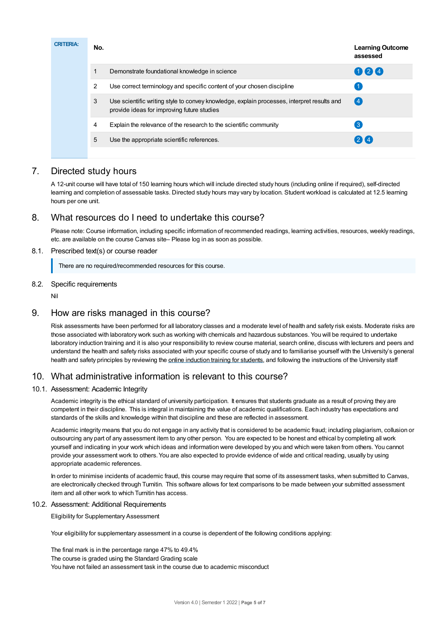| <b>CRITERIA:</b> | No. |                                                                                                                                          | <b>Learning Outcome</b><br>assessed |
|------------------|-----|------------------------------------------------------------------------------------------------------------------------------------------|-------------------------------------|
|                  |     | Demonstrate foundational knowledge in science                                                                                            | 024                                 |
|                  | 2   | Use correct terminology and specific content of your chosen discipline                                                                   |                                     |
|                  | 3   | Use scientific writing style to convey knowledge, explain processes, interpret results and<br>provide ideas for improving future studies | 【4                                  |
|                  | 4   | Explain the relevance of the research to the scientific community                                                                        | $\mathbf{3}$                        |
|                  | 5   | Use the appropriate scientific references.                                                                                               | 24                                  |
|                  |     |                                                                                                                                          |                                     |

# 7. Directed study hours

A 12-unit course will have total of 150 learning hours which will include directed study hours (including online if required), self-directed learning and completion of assessable tasks. Directed study hours may vary by location. Student workload is calculated at 12.5 learning hours per one unit.

# 8. What resources do I need to undertake this course?

Please note: Course information, including specific information of recommended readings, learning activities, resources, weekly readings, etc. are available on the course Canvas site– Please log in as soon as possible.

## 8.1. Prescribed text(s) or course reader

There are no required/recommended resources for this course.

## 8.2. Specific requirements

Nil

# 9. How are risks managed in this course?

Risk assessments have been performed for all laboratory classes and a moderate level of health and safety risk exists. Moderate risks are those associated with laboratory work such as working with chemicals and hazardous substances. You will be required to undertake laboratory induction training and it is also your responsibility to review course material, search online, discuss with lecturers and peers and understand the health and safety risks associated with your specific course of study and to familiarise yourself with the University's general health and safety principles by reviewing the online [induction](https://online.usc.edu.au/webapps/blackboard/content/listContentEditable.jsp?content_id=_632657_1&course_id=_14432_1) training for students, and following the instructions of the University staff

# 10. What administrative information is relevant to this course?

# 10.1. Assessment: Academic Integrity

Academic integrity is the ethical standard of university participation. It ensures that students graduate as a result of proving they are competent in their discipline. This is integral in maintaining the value of academic qualifications. Each industry has expectations and standards of the skills and knowledge within that discipline and these are reflected in assessment.

Academic integrity means that you do not engage in any activity that is considered to be academic fraud; including plagiarism, collusion or outsourcing any part of any assessment item to any other person. You are expected to be honest and ethical by completing all work yourself and indicating in your work which ideas and information were developed by you and which were taken from others. You cannot provide your assessment work to others.You are also expected to provide evidence of wide and critical reading, usually by using appropriate academic references.

In order to minimise incidents of academic fraud, this course may require that some of its assessment tasks, when submitted to Canvas, are electronically checked through Turnitin. This software allows for text comparisons to be made between your submitted assessment item and all other work to which Turnitin has access.

## 10.2. Assessment: Additional Requirements

Eligibility for Supplementary Assessment

Your eligibility for supplementary assessment in a course is dependent of the following conditions applying:

The final mark is in the percentage range 47% to 49.4% The course is graded using the Standard Grading scale You have not failed an assessment task in the course due to academic misconduct